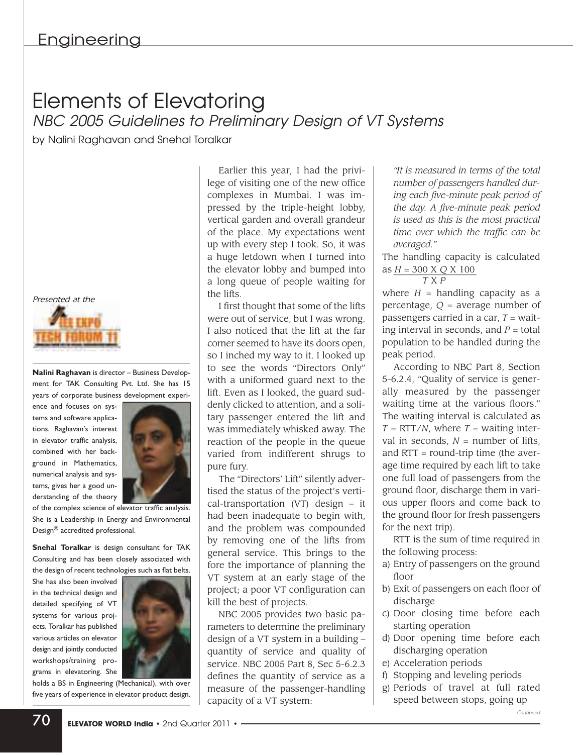## Elements of Elevatoring *NBC 2005 Guidelines to Preliminary Design of VT Systems*

by Nalini Raghavan and Snehal Toralkar

*Presented at the*



**Nalini Raghavan** is director – Business Development for TAK Consulting Pvt. Ltd. She has 15 years of corporate business development experi-

ence and focuses on systems and software applications. Raghavan's interest in elevator traffic analysis, combined with her background in Mathematics, numerical analysis and systems, gives her a good understanding of the theory



of the complex science of elevator traffic analysis. She is a Leadership in Energy and Environmental Design® accredited professional.

**Snehal Toralkar** is design consultant for TAK Consulting and has been closely associated with the design of recent technologies such as flat belts.

She has also been involved in the technical design and detailed specifying of VT systems for various projects. Toralkar has published various articles on elevator design and jointly conducted workshops/training programs in elevatoring. She



holds a BS in Engineering (Mechanical), with over five years of experience in elevator product design.

Earlier this year, I had the privilege of visiting one of the new office complexes in Mumbai. I was impressed by the triple-height lobby, vertical garden and overall grandeur of the place. My expectations went up with every step I took. So, it was a huge letdown when I turned into the elevator lobby and bumped into a long queue of people waiting for the lifts.

I first thought that some of the lifts were out of service, but I was wrong. I also noticed that the lift at the far corner seemed to have its doors open, so I inched my way to it. I looked up to see the words "Directors Only" with a uniformed guard next to the lift. Even as I looked, the guard suddenly clicked to attention, and a solitary passenger entered the lift and was immediately whisked away. The reaction of the people in the queue varied from indifferent shrugs to pure fury.

The "Directors' Lift" silently advertised the status of the project's vertical-transportation (VT) design – it had been inadequate to begin with, and the problem was compounded by removing one of the lifts from general service. This brings to the fore the importance of planning the VT system at an early stage of the project; a poor VT configuration can kill the best of projects.

NBC 2005 provides two basic parameters to determine the preliminary design of a VT system in a building – quantity of service and quality of service. NBC 2005 Part 8, Sec 5-6.2.3 defines the quantity of service as a measure of the passenger-handling capacity of a VT system:

*"It is measured in terms of the total number of passengers handled during each five-minute peak period of the day. A five-minute peak period is used as this is the most practical time over which the traffic can be averaged."*

The handling capacity is calculated as \_\_\_\_\_\_\_\_\_\_\_\_\_\_\_\_\_\_\_ *H* = 300 X *Q* X 100

$$
\frac{T \times P}{T \times P}
$$

where  $H =$  handling capacity as a percentage, *Q* = average number of passengers carried in a car, *T* = waiting interval in seconds, and  $P =$  total population to be handled during the peak period.

According to NBC Part 8, Section 5-6.2.4, "Quality of service is generally measured by the passenger waiting time at the various floors." The waiting interval is calculated as  $T = RTT/N$ , where  $T =$  waiting interval in seconds,  $N =$  number of lifts. and RTT = round-trip time (the average time required by each lift to take one full load of passengers from the ground floor, discharge them in various upper floors and come back to the ground floor for fresh passengers for the next trip).

RTT is the sum of time required in the following process:

- a) Entry of passengers on the ground floor
- b) Exit of passengers on each floor of discharge
- c) Door closing time before each starting operation
- d) Door opening time before each discharging operation
- e) Acceleration periods
- f) Stopping and leveling periods
- g) Periods of travel at full rated speed between stops, going up